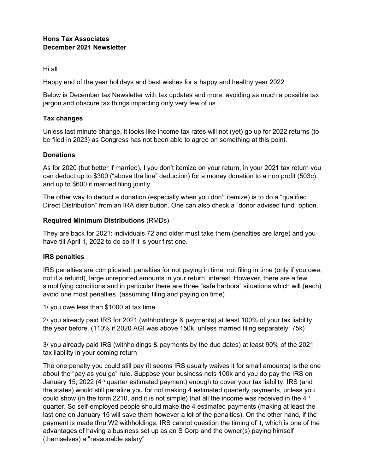Hi all

Happy end of the year holidays and best wishes for a happy and healthy year 2022

Below is December tax Newsletter with tax updates and more, avoiding as much a possible tax jargon and obscure tax things impacting only very few of us.

### **Tax changes**

Unless last minute change, it looks like income tax rates will not (yet) go up for 2022 returns (to be filed in 2023) as Congress has not been able to agree on something at this point.

# **Donations**

As for 2020 (but better if married), I you don't itemize on your return, in your 2021 tax return you can deduct up to \$300 ("above the line" deduction) for a money donation to a non profit (503c), and up to \$600 if married filing jointly.

The other way to deduct a donation (especially when you don't itemize) is to do a "qualified Direct Distribution" from an IRA distribution. One can also check a "donor advised fund" option.

# **Required Minimum Distributions** (RMDs)

They are back for 2021: individuals 72 and older must take them (penalties are large) and you have till April 1, 2022 to do so if it is your first one.

# **IRS penalties**

IRS penalties are complicated: penalties for not paying in time, not filing in time (only if you owe, not if a refund), large unreported amounts in your return, interest. However, there are a few simplifying conditions and in particular there are three "safe harbors" situations which will (each) avoid one most penalties. (assuming filing and paying on time)

1/ you owe less than \$1000 at tax time

2/ you already paid IRS for 2021 (withholdings & payments) at least 100% of your tax liability the year before. (110% if 2020 AGI was above 150k, unless married filing separately: 75k)

3/ you already paid IRS (withholdings & payments by the due dates) at least 90% of the 2021 tax liability in your coming return

The one penalty you could still pay (it seems IRS usually waives it for small amounts) is the one about the "pay as you go" rule. Suppose your business nets 100k and you do pay the IRS on January 15, 2022 ( $4<sup>th</sup>$  quarter estimated payment) enough to cover your tax liability. IRS (and the states) would still penalize you for not making 4 estimated quarterly payments, unless you could show (in the form 2210, and it is not simple) that all the income was received in the  $4<sup>th</sup>$ quarter. So self-employed people should make the 4 estimated payments (making at least the last one on January 15 will save them however a lot of the penalties). On the other hand, if the payment is made thru W2 withholdings, IRS cannot question the timing of it, which is one of the advantages of having a business set up as an S Corp and the owner(s) paying himself (themselves) a "reasonable salary"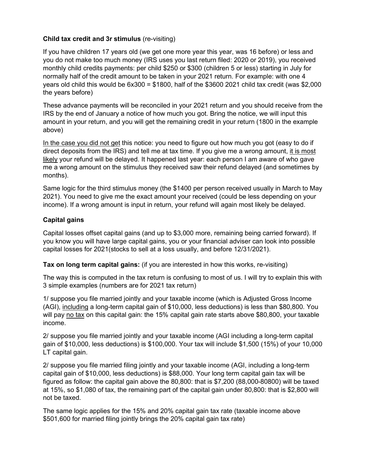### **Child tax credit and 3r stimulus** (re-visiting)

If you have children 17 years old (we get one more year this year, was 16 before) or less and you do not make too much money (IRS uses you last return filed: 2020 or 2019), you received monthly child credits payments: per child \$250 or \$300 (children 5 or less) starting in July for normally half of the credit amount to be taken in your 2021 return. For example: with one 4 years old child this would be  $6x300 = $1800$ , half of the \$3600 2021 child tax credit (was \$2,000 the years before)

These advance payments will be reconciled in your 2021 return and you should receive from the IRS by the end of January a notice of how much you got. Bring the notice, we will input this amount in your return, and you will get the remaining credit in your return (1800 in the example above)

In the case you did not get this notice: you need to figure out how much you got (easy to do if direct deposits from the IRS) and tell me at tax time. If you give me a wrong amount, it is most likely your refund will be delayed. It happened last year: each person I am aware of who gave me a wrong amount on the stimulus they received saw their refund delayed (and sometimes by months).

Same logic for the third stimulus money (the \$1400 per person received usually in March to May 2021). You need to give me the exact amount your received (could be less depending on your income). If a wrong amount is input in return, your refund will again most likely be delayed.

#### **Capital gains**

Capital losses offset capital gains (and up to \$3,000 more, remaining being carried forward). If you know you will have large capital gains, you or your financial adviser can look into possible capital losses for 2021(stocks to sell at a loss usually, and before 12/31/2021).

**Tax on long term capital gains:** (if you are interested in how this works, re-visiting)

The way this is computed in the tax return is confusing to most of us. I will try to explain this with 3 simple examples (numbers are for 2021 tax return)

1/ suppose you file married jointly and your taxable income (which is Adjusted Gross Income (AGI), including a long-term capital gain of \$10,000, less deductions) is less than \$80,800. You will pay no tax on this capital gain: the 15% capital gain rate starts above \$80,800, your taxable income.

2/ suppose you file married jointly and your taxable income (AGI including a long-term capital gain of \$10,000, less deductions) is \$100,000. Your tax will include \$1,500 (15%) of your 10,000 LT capital gain.

2/ suppose you file married filing jointly and your taxable income (AGI, including a long-term capital gain of \$10,000, less deductions) is \$88,000. Your long term capital gain tax will be figured as follow: the capital gain above the 80,800: that is \$7,200 (88,000-80800) will be taxed at 15%, so \$1,080 of tax, the remaining part of the capital gain under 80,800: that is \$2,800 will not be taxed.

The same logic applies for the 15% and 20% capital gain tax rate (taxable income above \$501,600 for married filing jointly brings the 20% capital gain tax rate)